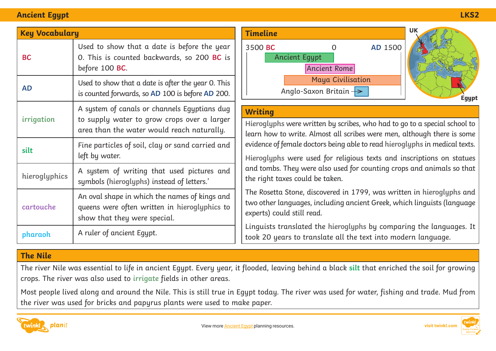### **Ancient Egypt LKS2**

| <b>Key Vocabulary</b> |                                                                                                                                           | <b>Timeline</b>                                                                                      |
|-----------------------|-------------------------------------------------------------------------------------------------------------------------------------------|------------------------------------------------------------------------------------------------------|
| <b>BC</b>             | Used to show that a date is before the year<br>0. This is counted backwards, so 200 BC is<br>before 100 BC.                               | 3500 BC<br>A <sub>1</sub>                                                                            |
| <b>AD</b>             | Used to show that a date is after the year 0. This<br>is counted forwards, so AD 100 is before AD 200.                                    |                                                                                                      |
| irrigation            | A system of canals or channels Egyptians dug<br>to supply water to grow crops over a larger<br>area than the water would reach naturally. | <b>Writing</b><br>Hieroglyph<br>learn how<br>evidence of<br>Hieroglyph<br>and tombs.<br>the right to |
| silt                  | Fine particles of soil, clay or sand carried and<br>left by water.                                                                        |                                                                                                      |
| hieroglyphics         | A system of writing that used pictures and<br>symbols (hieroglyphs) instead of letters.'                                                  |                                                                                                      |
| cartouche             | An oval shape in which the names of kings and<br>queens were often written in hieroglyphics to<br>show that they were special.            | The Rosetto<br>two other l<br>experts) co                                                            |
| pharaoh               | A ruler of ancient Egypt.                                                                                                                 | Linguists t<br>took 20 ye                                                                            |



**Hieroglyphs** were written by scribes, who had to go to a special school to to write. Almost all scribes were men, although there is some female doctors being able to read hieroglyphs in medical texts.

**Hieroglyphs** were used for religious texts and inscriptions on statues They were also used for counting crops and animals so that the taken

The Rosetta Stone, discovered in 1799, was written in **hieroglyphs** and anguages, including ancient Greek, which linguists (language uld still read.

Linguists translated the **hieroglyphs** by comparing the languages. It to translate all the text into modern language.

## **The Nile**

The river Nile was essential to life in ancient Egypt. Every year, it flooded, leaving behind a black **silt** that enriched the soil for growing crops. The river was also used to **irrigate** fields in other areas.

Most people lived along and around the Nile. This is still true in Egypt today. The river was used for water, fishing and trade. Mud from the river was used for bricks and papyrus plants were used to make paper.